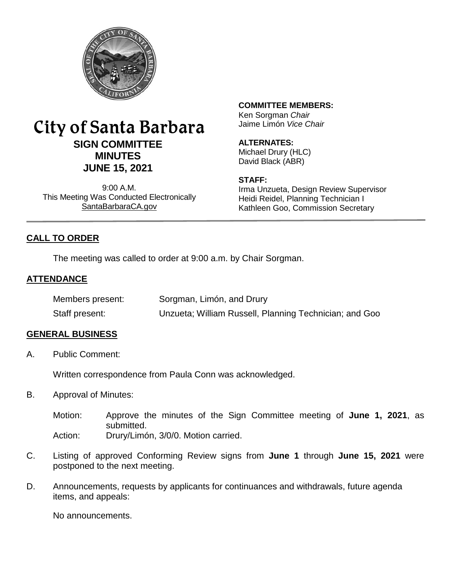

# City of Santa Barbara **SIGN COMMITTEE MINUTES JUNE 15, 2021**

9:00 A.M. This Meeting Was Conducted Electronically [SantaBarbaraCA.gov](http://www.santabarbaraca.gov/)

# **COMMITTEE MEMBERS:**

Ken Sorgman *Chair* Jaime Limón *Vice Chair*

#### **ALTERNATES:**

Michael Drury (HLC) David Black (ABR)

#### **STAFF:**

Irma Unzueta, Design Review Supervisor Heidi Reidel, Planning Technician I Kathleen Goo, Commission Secretary

# **CALL TO ORDER**

The meeting was called to order at 9:00 a.m. by Chair Sorgman.

## **ATTENDANCE**

| Members present: | Sorgman, Limón, and Drury                              |
|------------------|--------------------------------------------------------|
| Staff present:   | Unzueta; William Russell, Planning Technician; and Goo |

#### **GENERAL BUSINESS**

A. Public Comment:

Written correspondence from Paula Conn was acknowledged.

- B. Approval of Minutes:
	- Motion: Approve the minutes of the Sign Committee meeting of **June 1, 2021**, as submitted. Action: Drury/Limón, 3/0/0. Motion carried.
- C. Listing of approved Conforming Review signs from **June 1** through **June 15, 2021** were postponed to the next meeting.
- D. Announcements, requests by applicants for continuances and withdrawals, future agenda items, and appeals:

No announcements.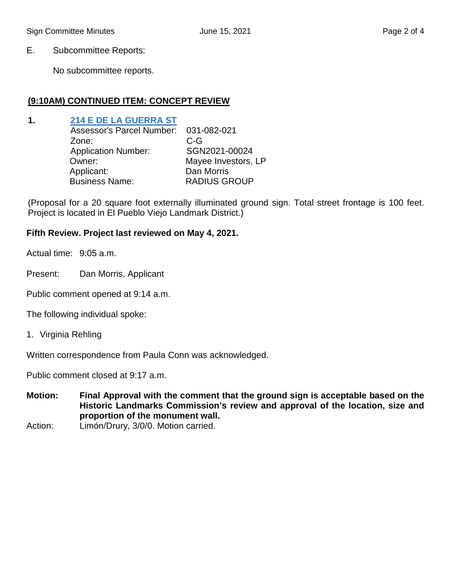E. Subcommittee Reports:

No subcommittee reports.

# **(9:10AM) CONTINUED ITEM: CONCEPT REVIEW**

# **1. [214 E DE LA GUERRA ST](https://www.santabarbaraca.gov/civicax/filebank/blobdload.aspx?BlobID=237007)**

| Mayee Investors, LP |
|---------------------|
|                     |
|                     |
|                     |

(Proposal for a 20 square foot externally illuminated ground sign. Total street frontage is 100 feet. Project is located in El Pueblo Viejo Landmark District.)

## **Fifth Review. Project last reviewed on May 4, 2021.**

Actual time: 9:05 a.m.

Present: Dan Morris, Applicant

Public comment opened at 9:14 a.m.

The following individual spoke:

1. Virginia Rehling

Written correspondence from Paula Conn was acknowledged.

Public comment closed at 9:17 a.m.

- **Motion: Final Approval with the comment that the ground sign is acceptable based on the Historic Landmarks Commission's review and approval of the location, size and proportion of the monument wall.**
- Action: Limón/Drury, 3/0/0. Motion carried.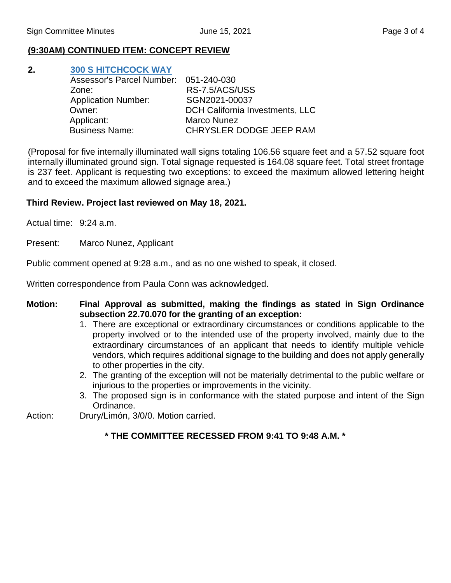# **(9:30AM) CONTINUED ITEM: CONCEPT REVIEW**

| 2. | <b>300 S HITCHCOCK WAY</b>            |                                 |
|----|---------------------------------------|---------------------------------|
|    | Assessor's Parcel Number: 051-240-030 |                                 |
|    | Zone:                                 | RS-7.5/ACS/USS                  |
|    | <b>Application Number:</b>            | SGN2021-00037                   |
|    | Owner:                                | DCH California Investments, LLC |
|    | Applicant:                            | <b>Marco Nunez</b>              |
|    | <b>Business Name:</b>                 | CHRYSLER DODGE JEEP RAM         |

(Proposal for five internally illuminated wall signs totaling 106.56 square feet and a 57.52 square foot internally illuminated ground sign. Total signage requested is 164.08 square feet. Total street frontage is 237 feet. Applicant is requesting two exceptions: to exceed the maximum allowed lettering height and to exceed the maximum allowed signage area.)

## **Third Review. Project last reviewed on May 18, 2021.**

Actual time: 9:24 a.m.

Present: Marco Nunez, Applicant

Public comment opened at 9:28 a.m., and as no one wished to speak, it closed.

Written correspondence from Paula Conn was acknowledged.

- **Motion: Final Approval as submitted, making the findings as stated in Sign Ordinance subsection 22.70.070 for the granting of an exception:**
	- 1. There are exceptional or extraordinary circumstances or conditions applicable to the property involved or to the intended use of the property involved, mainly due to the extraordinary circumstances of an applicant that needs to identify multiple vehicle vendors, which requires additional signage to the building and does not apply generally to other properties in the city.
	- 2. The granting of the exception will not be materially detrimental to the public welfare or injurious to the properties or improvements in the vicinity.
	- 3. The proposed sign is in conformance with the stated purpose and intent of the Sign Ordinance.

Action: Drury/Limón, 3/0/0. Motion carried.

#### **\* THE COMMITTEE RECESSED FROM 9:41 TO 9:48 A.M. \***